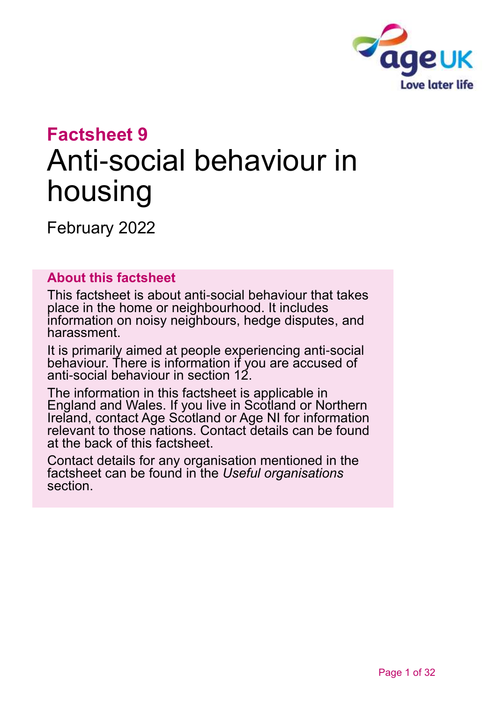

# **Factsheet 9** Anti-social behaviour in housing

February 2022

#### **About this factsheet**

This factsheet is about anti-social behaviour that takes place in the home or neighbourhood. It includes information on noisy neighbours, hedge disputes, and harassment.

It is primarily aimed at people experiencing anti-social behaviour. There is information if you are accused of anti-social behaviour in [section 12.](#page-19-0)

The information in this factsheet is applicable in England and Wales. If you live in Scotland or Northern Ireland, contact [Age Scotland or Age NI](#page-30-0) for information relevant to those nations. Contact details can be found at the back of this factsheet.

Contact details for any organisation mentioned in the factsheet can be found in the *[Useful organisations](#page-26-0)* section.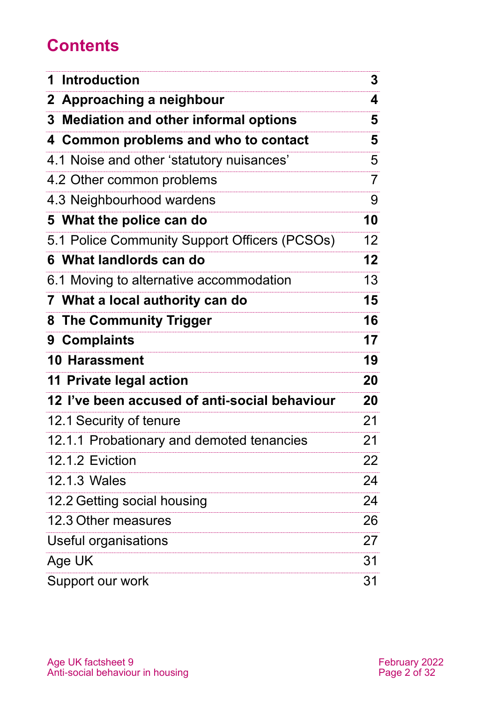# **Contents**

| 1 Introduction                                | 3               |
|-----------------------------------------------|-----------------|
| 2 Approaching a neighbour                     | 4               |
| 3 Mediation and other informal options        | 5               |
|                                               |                 |
| 4 Common problems and who to contact          | 5               |
| 4.1 Noise and other 'statutory nuisances'     | 5               |
| 4.2 Other common problems                     | 7               |
| 4.3 Neighbourhood wardens                     | 9               |
| 5 What the police can do                      | 10              |
| 5.1 Police Community Support Officers (PCSOs) | 12 <sup>2</sup> |
| 6 What landlords can do                       | 12              |
| 6.1 Moving to alternative accommodation       | 13              |
| 7 What a local authority can do               | 15              |
| 8 The Community Trigger                       | 16              |
| 9 Complaints                                  | 17              |
| 10 Harassment                                 | 19              |
| 11 Private legal action                       | 20              |
| 12 I've been accused of anti-social behaviour | 20              |
| 12.1 Security of tenure                       | 21              |
| 12.1.1 Probationary and demoted tenancies     | 21              |
| 12.1.2 Eviction                               | 22              |
| 12.1.3 Wales                                  | 24              |
| 12.2 Getting social housing                   | 24              |
| 12.3 Other measures                           | 26              |
| Useful organisations                          | 27              |
| Age UK                                        | 31              |
| Support our work                              | 31              |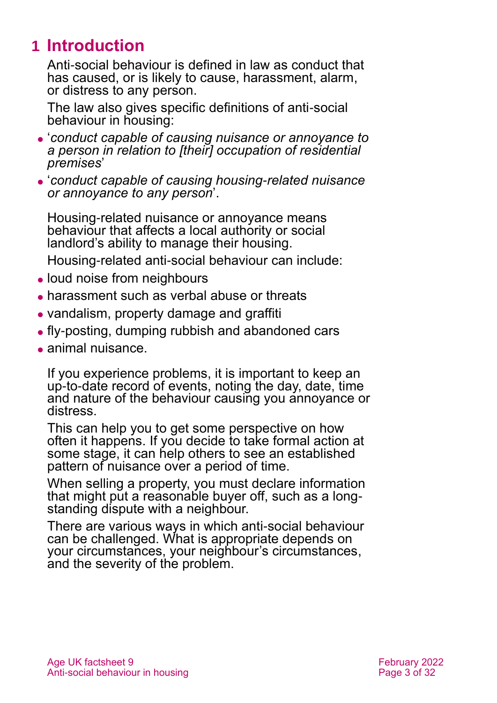# <span id="page-2-0"></span>**1 Introduction**

Anti-social behaviour is defined in law as conduct that has caused, or is likely to cause, harassment, alarm, or distress to any person.

The law also gives specific definitions of anti-social behaviour in housing:

- ⚫ '*conduct capable of causing nuisance or annoyance to a person in relation to [their] occupation of residential premises*'
- ⚫ '*conduct capable of causing housing-related nuisance or annoyance to any person*'.

Housing-related nuisance or annoyance means behaviour that affects a local authority or social landlord's ability to manage their housing.

Housing-related anti-social behaviour can include:

- loud noise from neighbours
- harassment such as verbal abuse or threats
- ⚫ vandalism, property damage and graffiti
- ⚫ fly-posting, dumping rubbish and abandoned cars
- ⚫ animal nuisance.

If you experience problems, it is important to keep an up-to-date record of events, noting the day, date, time and nature of the behaviour causing you annoyance or distress.

This can help you to get some perspective on how often it happens. If you decide to take formal action at some stage, it can help others to see an established pattern of nuisance over a period of time.

When selling a property, you must declare information that might put a reasonable buyer off, such as a longstanding dispute with a neighbour.

There are various ways in which anti-social behaviour can be challenged. What is appropriate depends on your circumstances, your neighbour's circumstances, and the severity of the problem.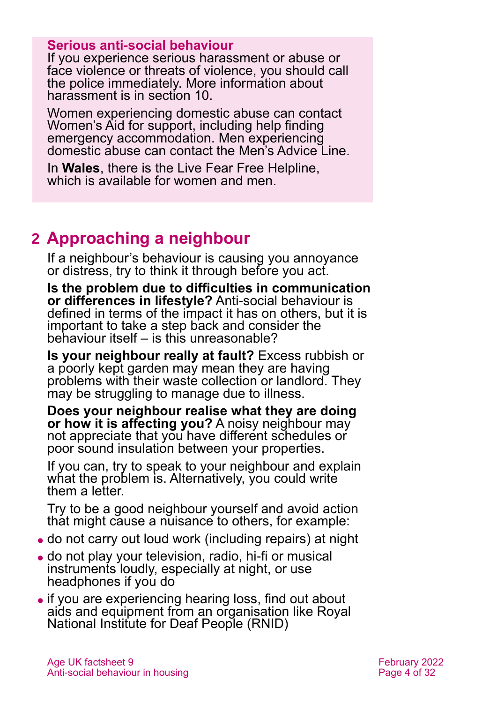#### **Serious anti-social behaviour**

If you experience serious harassment or abuse or face violence or threats of violence, you should call the police immediately. More information about harassment is in [section 10.](#page-18-0)

Women experiencing domestic abuse can contact [Women's Aid](https://www.womensaid.org.uk/) for support, including help finding emergency accommodation. Men experiencing domestic abuse can contact the [Men's Advice Line.](http://www.mensadviceline.org.uk/)

In **Wales**, there is the [Live Fear Free Helpline,](https://gov.wales/live-fear-free) which is available for women and men.

# <span id="page-3-0"></span>**2 Approaching a neighbour**

If a neighbour's behaviour is causing you annoyance or distress, try to think it through before you act.

**Is the problem due to difficulties in communication or differences in lifestyle?** Anti-social behaviour is defined in terms of the impact it has on others, but it is important to take a step back and consider the behaviour itself – is this unreasonable?

**Is your neighbour really at fault?** Excess rubbish or a poorly kept garden may mean they are having problems with their waste collection or landlord. They may be struggling to manage due to illness.

**Does your neighbour realise what they are doing or how it is affecting you?** A noisy neighbour may not appreciate that you have different schedules or poor sound insulation between your properties.

If you can, try to speak to your neighbour and explain what the problem is. Alternatively, you could write them a letter.

Try to be a good neighbour yourself and avoid action that might cause a nuisance to others, for example:

- ⚫ do not carry out loud work (including repairs) at night
- ⚫ do not play your television, radio, hi-fi or musical instruments loudly, especially at night, or use headphones if you do
- ⚫ if you are experiencing hearing loss, find out about aids and equipment from an organisation like [Royal](https://rnid.org.uk/)  [National Institute for Deaf People \(RNID\)](https://rnid.org.uk/)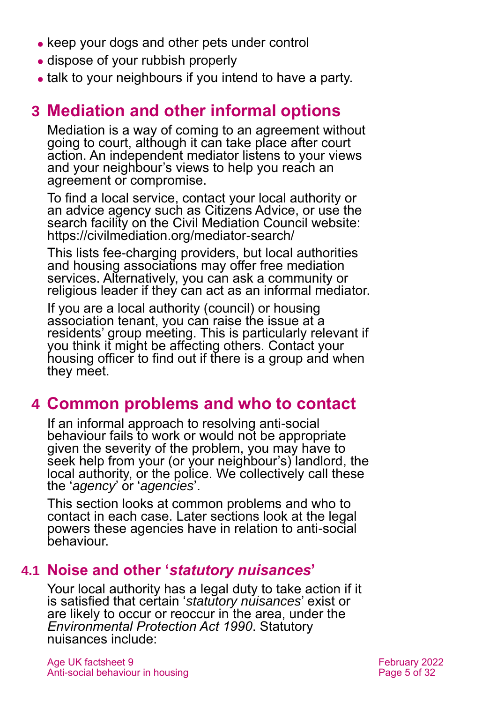- keep your dogs and other pets under control
- ⚫ dispose of your rubbish properly
- <span id="page-4-0"></span>⚫ talk to your neighbours if you intend to have a party.

# **3 Mediation and other informal options**

Mediation is a way of coming to an agreement without going to court, although it can take place after court action. An independent mediator listens to your views and your neighbour's views to help you reach an agreement or compromise.

To find a local service, contact your local authority or an advice agency such as [Citizens Advice,](http://www.citizensadvice.org.uk/) or use the search facility on the Civil Mediation Council website: <https://civilmediation.org/mediator-search/>

This lists fee-charging providers, but local authorities and housing associations may offer free mediation services. Alternatively, you can ask a community or religious leader if they can act as an informal mediator.

If you are a local authority (council) or housing association tenant, you can raise the issue at a residents' group meeting. This is particularly relevant if you think it might be affecting others. Contact your housing officer to find out if there is a group and when they meet.

### <span id="page-4-1"></span>**4 Common problems and who to contact**

If an informal approach to resolving anti-social behaviour fails to work or would not be appropriate given the severity of the problem, you may have to seek help from your (or your neighbour's) landlord, the local authority, or the police. We collectively call these the '*agency*' or '*agencies*'.

This section looks at common problems and who to contact in each case. Later sections look at the legal powers these agencies have in relation to anti-social behaviour.

### <span id="page-4-2"></span>**4.1 Noise and other '***statutory nuisances***'**

Your local authority has a legal duty to take action if it is satisfied that certain '*statutory nuisances*' exist or are likely to occur or reoccur in the area, under the *Environmental Protection Act 1990*. Statutory nuisances include: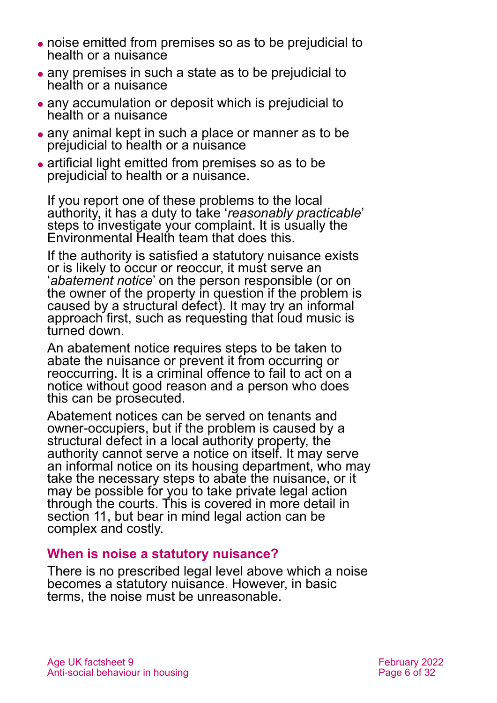- ⚫ noise emitted from premises so as to be prejudicial to health or a nuisance
- ⚫ any premises in such a state as to be prejudicial to health or a nuisance
- ⚫ any accumulation or deposit which is prejudicial to health or a nuisance
- any animal kept in such a place or manner as to be prejudicial to health or a nuisance
- ⚫ artificial light emitted from premises so as to be prejudicial to health or a nuisance.

If you report one of these problems to the local authority, it has a duty to take '*reasonably practicable*' steps to investigate your complaint. It is usually the Environmental Health team that does this.

If the authority is satisfied a statutory nuisance exists or is likely to occur or reoccur, it must serve an '*abatement notice*' on the person responsible (or on the owner of the property in question if the problem is caused by a structural defect). It may try an informal approach first, such as requesting that loud music is turned down.

An abatement notice requires steps to be taken to abate the nuisance or prevent it from occurring or reoccurring. It is a criminal offence to fail to act on a notice without good reason and a person who does this can be prosecuted.

Abatement notices can be served on tenants and owner-occupiers, but if the problem is caused by a structural defect in a local authority property, the authority cannot serve a notice on itself. It may serve an informal notice on its housing department, who may take the necessary steps to abate the nuisance, or it may be possible for you to take private legal action through the courts. This is covered in more detail in [section 11,](#page-19-1) but bear in mind legal action can be complex and costly.

#### **When is noise a statutory nuisance?**

There is no prescribed legal level above which a noise becomes a statutory nuisance. However, in basic terms, the noise must be unreasonable.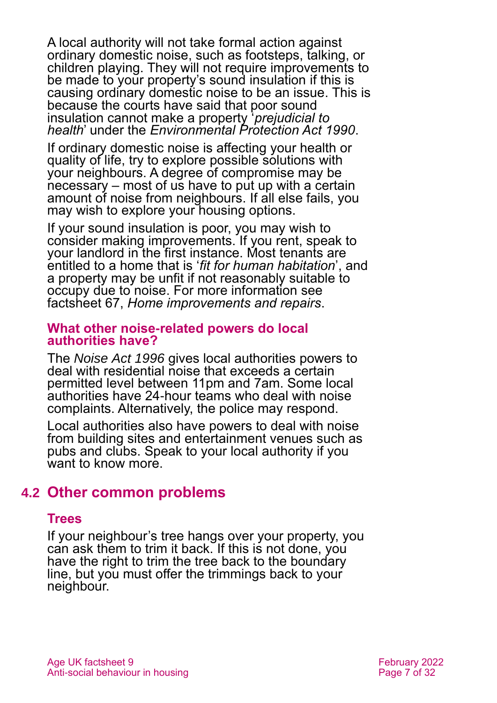A local authority will not take formal action against ordinary domestic noise, such as footsteps, talking, or children playing. They will not require improvements to be made to your property's sound insulation if this is causing ordinary domestic noise to be an issue. This is because the courts have said that poor sound insulation cannot make a property '*prejudicial to health*' under the *Environmental Protection Act 1990*.

If ordinary domestic noise is affecting your health or quality of life, try to explore possible solutions with your neighbours. A degree of compromise may be necessary – most of us have to put up with a certain amount of noise from neighbours. If all else fails, you may wish to explore your housing options.

If your sound insulation is poor, you may wish to consider making improvements. If you rent, speak to your landlord in the first instance. Most tenants are entitled to a home that is '*fit for human habitation*', and a property may be unfit if not reasonably suitable to occupy due to noise. For more information see factsheet 67, *[Home improvements and repairs](https://www.ageuk.org.uk/globalassets/age-uk/documents/factsheets/fs67_home_improvements_and_repairs_fcs.pdf)*.

#### **What other noise-related powers do local authorities have?**

The *Noise Act 1996* gives local authorities powers to deal with residential noise that exceeds a certain permitted level between 11pm and 7am. Some local authorities have 24-hour teams who deal with noise complaints. Alternatively, the police may respond.

Local authorities also have powers to deal with noise from building sites and entertainment venues such as pubs and clubs. Speak to your local authority if you want to know more.

### **4.2 Other common problems**

#### **Trees**

If your neighbour's tree hangs over your property, you can ask them to trim it back. If this is not done, you have the right to trim the tree back to the boundary line, but you must offer the trimmings back to your neighbour.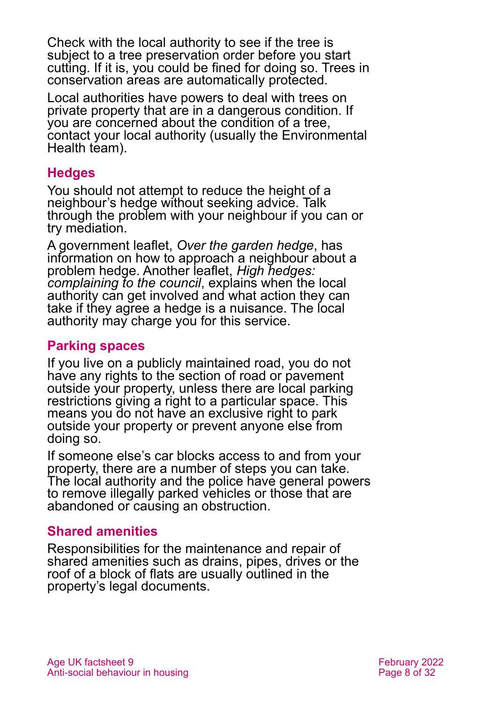Check with the local authority to see if the tree is subject to a tree preservation order before you start cutting. If it is, you could be fined for doing so. Trees in conservation areas are automatically protected.

Local authorities have powers to deal with trees on private property that are in a dangerous condition. If you are concerned about the condition of a tree, contact your local authority (usually the Environmental Health team).

#### **Hedges**

You should not attempt to reduce the height of a neighbour's hedge without seeking advice. Talk through the problem with your neighbour if you can or try mediation.

A government leaflet, *[Over the garden hedge](https://www.gov.uk/government/publications/over-the-garden-hedge)*, has information on how to approach a neighbour about a problem hedge. Another leaflet, *[High hedges:](https://www.gov.uk/government/publications/high-hedges-complaining-to-the-council)  [complaining to the council](https://www.gov.uk/government/publications/high-hedges-complaining-to-the-council)*, explains when the local authority can get involved and what action they can take if they agree a hedge is a nuisance. The local authority may charge you for this service.

#### **Parking spaces**

If you live on a publicly maintained road, you do not have any rights to the section of road or pavement outside your property, unless there are local parking restrictions giving a right to a particular space. This means you do not have an exclusive right to park outside your property or prevent anyone else from doing so.

If someone else's car blocks access to and from your property, there are a number of steps you can take. The local authority and the police have general powers to remove illegally parked vehicles or those that are abandoned or causing an obstruction.

#### **Shared amenities**

Responsibilities for the maintenance and repair of shared amenities such as drains, pipes, drives or the roof of a block of flats are usually outlined in the property's legal documents.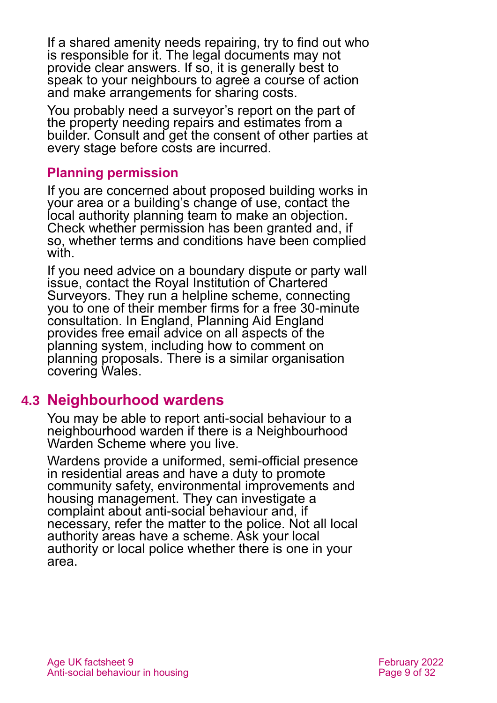If a shared amenity needs repairing, try to find out who is responsible for it. The legal documents may not provide clear answers. If so, it is generally best to speak to your neighbours to agree a course of action and make arrangements for sharing costs.

You probably need a surveyor's report on the part of the property needing repairs and estimates from a builder. Consult and get the consent of other parties at every stage before costs are incurred.

#### **Planning permission**

If you are concerned about proposed building works in your area or a building's change of use, contact the local authority planning team to make an objection. Check whether permission has been granted and, if so, whether terms and conditions have been complied with.

If you need advice on a boundary dispute or party wall issue, contact the Royal Institution of Chartered Surveyors. They run a helpline scheme, connecting you to one of their member firms for a free 30-minute consultation. In England, Planning Aid England provides free email advice on all aspects of the planning system, including how to comment on planning proposals. There is a similar organisation covering Wales.

### **4.3 Neighbourhood wardens**

You may be able to report anti-social behaviour to a neighbourhood warden if there is a Neighbourhood Warden Scheme where you live.

Wardens provide a uniformed, semi-official presence in residential areas and have a duty to promote community safety, environmental improvements and housing management. They can investigate a complaint about anti-social behaviour and, if necessary, refer the matter to the police. Not all local authority areas have a scheme. Ask your local authority or local police whether there is one in your area.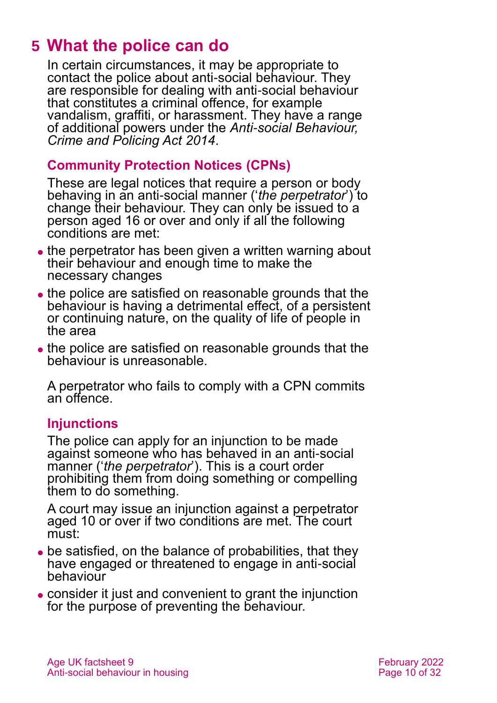# <span id="page-9-0"></span>**5 What the police can do**

In certain circumstances, it may be appropriate to contact the police about anti-social behaviour. They are responsible for dealing with anti-social behaviour that constitutes a criminal offence, for example vandalism, graffiti, or harassment. They have a range of additional powers under the *[Anti-social Behaviour,](https://www.legislation.gov.uk/ukpga/2014/12/contents)  [Crime and Policing Act 2014](https://www.legislation.gov.uk/ukpga/2014/12/contents)*.

#### **Community Protection Notices (CPNs)**

These are legal notices that require a person or body behaving in an anti-social manner ('*the perpetrator*') to change their behaviour. They can only be issued to a person aged 16 or over and only if all the following conditions are met:

- the perpetrator has been given a written warning about their behaviour and enough time to make the necessary changes
- ⚫ the police are satisfied on reasonable grounds that the behaviour is having a detrimental effect, of a persistent or continuing nature, on the quality of life of people in the area
- ⚫ the police are satisfied on reasonable grounds that the behaviour is unreasonable.

A perpetrator who fails to comply with a CPN commits an offence.

#### **Injunctions**

The police can apply for an injunction to be made against someone who has behaved in an anti-social manner ('*the perpetrator*'). This is a court order prohibiting them from doing something or compelling them to do something.

A court may issue an injunction against a perpetrator aged 10 or over if two conditions are met. The court must:

- be satisfied, on the balance of probabilities, that they have engaged or threatened to engage in anti-social behaviour
- ⚫ consider it just and convenient to grant the injunction for the purpose of preventing the behaviour.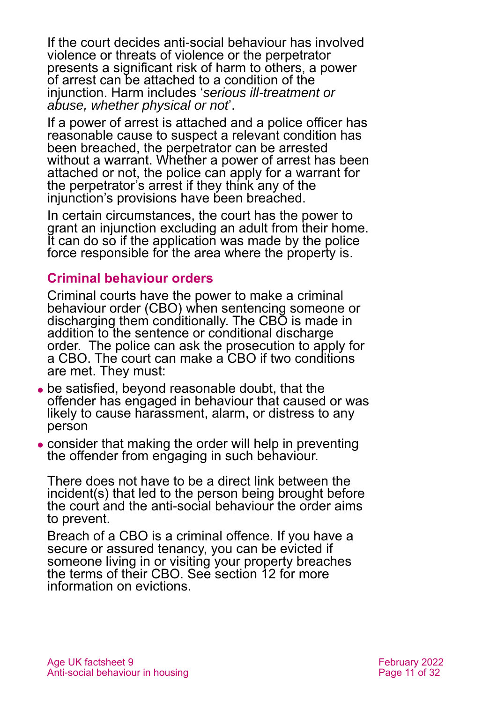If the court decides anti-social behaviour has involved violence or threats of violence or the perpetrator presents a significant risk of harm to others, a power of arrest can be attached to a condition of the injunction. Harm includes '*serious ill-treatment or abuse, whether physical or not*'.

If a power of arrest is attached and a police officer has reasonable cause to suspect a relevant condition has been breached, the perpetrator can be arrested without a warrant. Whether a power of arrest has been attached or not, the police can apply for a warrant for the perpetrator's arrest if they think any of the injunction's provisions have been breached.

In certain circumstances, the court has the power to grant an injunction excluding an adult from their home. It can do so if the application was made by the police force responsible for the area where the property is.

#### **Criminal behaviour orders**

Criminal courts have the power to make a criminal behaviour order (CBO) when sentencing someone or discharging them conditionally. The CBO is made in addition to the sentence or conditional discharge order. The police can ask the prosecution to apply for a CBO. The court can make a CBO if two conditions are met. They must:

- be satisfied, beyond reasonable doubt, that the offender has engaged in behaviour that caused or was likely to cause harassment, alarm, or distress to any person
- consider that making the order will help in preventing the offender from engaging in such behaviour.

There does not have to be a direct link between the incident(s) that led to the person being brought before the court and the anti-social behaviour the order aims to prevent.

Breach of a CBO is a criminal offence. If you have a secure or assured tenancy, you can be evicted if someone living in or visiting your property breaches the terms of their CBO. See [section 12](#page-19-0) for more information on evictions.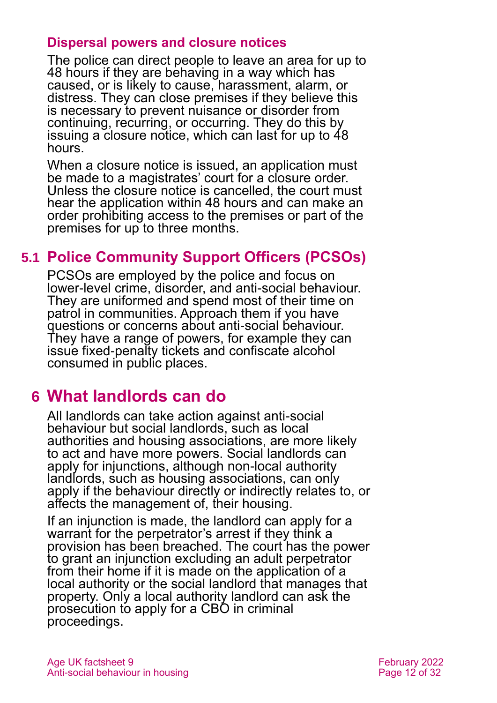#### **Dispersal powers and closure notices**

The police can direct people to leave an area for up to 48 hours if they are behaving in a way which has caused, or is likely to cause, harassment, alarm, or distress. They can close premises if they believe this is necessary to prevent nuisance or disorder from continuing, recurring, or occurring. They do this by issuing a closure notice, which can last for up to 48 hours.

When a closure notice is issued, an application must be made to a magistrates' court for a closure order. Unless the closure notice is cancelled, the court must hear the application within 48 hours and can make an order prohibiting access to the premises or part of the premises for up to three months.

### **5.1 Police Community Support Officers (PCSOs)**

PCSOs are employed by the police and focus on lower-level crime, disorder, and anti-social behaviour. They are uniformed and spend most of their time on patrol in communities. Approach them if you have questions or concerns about anti-social behaviour. They have a range of powers, for example they can issue fixed-penalty tickets and confiscate alcohol consumed in public places.

### <span id="page-11-0"></span>**6 What landlords can do**

<span id="page-11-1"></span>All landlords can take action against anti-social behaviour but social landlords, such as local authorities and housing associations, are more likely to act and have more powers. Social landlords can apply for injunctions, although non-local authority landlords, such as housing associations, can only apply if the behaviour directly or indirectly relates to, or affects the management of, their housing.

If an injunction is made, the landlord can apply for a warrant for the perpetrator's arrest if they think a provision has been breached. The court has the power to grant an injunction excluding an adult perpetrator from their home if it is made on the application of a local authority or the social landlord that manages that property. Only a local authority landlord can ask the prosecution to apply for a CBO in criminal proceedings.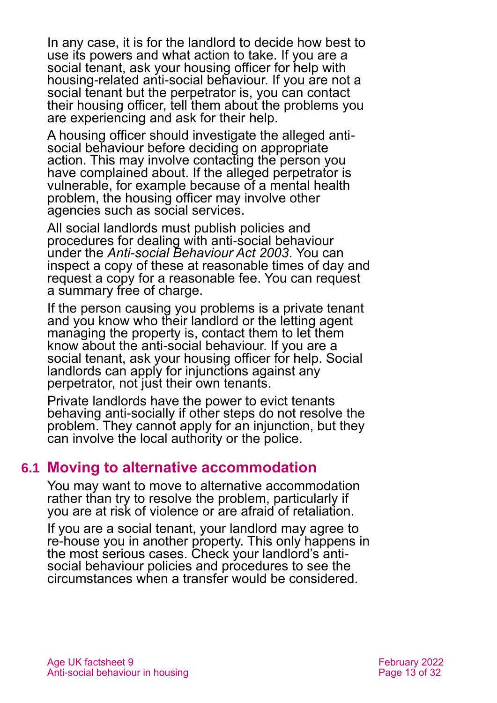In any case, it is for the landlord to decide how best to use its powers and what action to take. If you are a social tenant, ask your housing officer for help with housing-related anti-social behaviour. If you are not a social tenant but the perpetrator is, you can contact their housing officer, tell them about the problems you are experiencing and ask for their help.

A housing officer should investigate the alleged antisocial behaviour before deciding on appropriate action. This may involve contacting the person you have complained about. If the alleged perpetrator is vulnerable, for example because of a mental health problem, the housing officer may involve other agencies such as social services.

All social landlords must publish policies and procedures for dealing with anti-social behaviour under the *[Anti-social Behaviour Act 2003](https://www.legislation.gov.uk/ukpga/2003/38/contents)*. You can inspect a copy of these at reasonable times of day and request a copy for a reasonable fee. You can request a summary free of charge.

If the person causing you problems is a private tenant and you know who their landlord or the letting agent managing the property is, contact them to let them know about the anti-social behaviour. If you are a social tenant, ask your housing officer for help. Social landlords can apply for injunctions against any perpetrator, not just their own tenants.

Private landlords have the power to evict tenants behaving anti-socially if other steps do not resolve the problem. They cannot apply for an injunction, but they can involve the local authority or the police.

#### <span id="page-12-0"></span>**6.1 Moving to alternative accommodation**

You may want to move to alternative accommodation rather than try to resolve the problem, particularly if you are at risk of violence or are afraid of retaliation.

If you are a social tenant, your landlord may agree to re-house you in another property. This only happens in the most serious cases. Check your landlord's antisocial behaviour policies and procedures to see the circumstances when a transfer would be considered.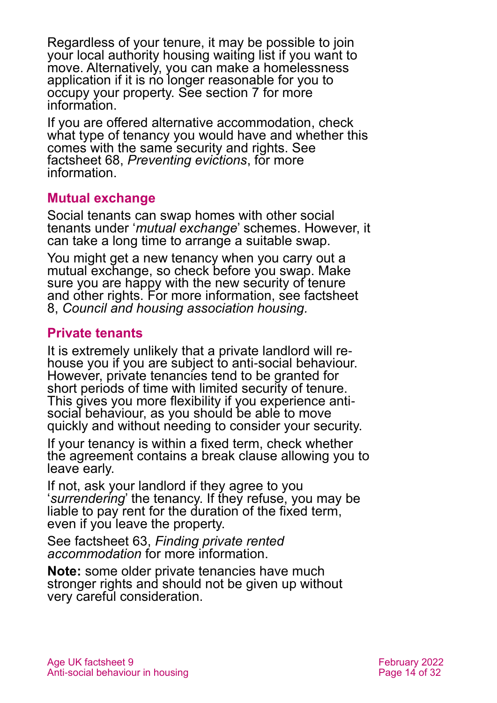Regardless of your tenure, it may be possible to join your local authority housing waiting list if you want to move. Alternatively, you can make a homelessness application if it is no longer reasonable for you to occupy your property. See [section 7](#page-14-0) for more information.

If you are offered alternative accommodation, check what type of tenancy you would have and whether this comes with the same security and rights. See factsheet 68, *[Preventing evictions](https://www.ageuk.org.uk/globalassets/age-uk/documents/factsheets/fs68_tenancy_rights_security_of_tenure_fcs.pdf)*, for more information.

#### **Mutual exchange**

Social tenants can swap homes with other social tenants under '*mutual exchange*' schemes. However, it can take a long time to arrange a suitable swap.

You might get a new tenancy when you carry out a mutual exchange, so check before you swap. Make sure you are happy with the new security of tenure and other rights. For more information, see [factsheet](https://www.ageuk.org.uk/globalassets/age-uk/documents/factsheets/fs8_council_and_housing_association_housing_fcs.pdf)  8, *[Council and housing association housing.](https://www.ageuk.org.uk/globalassets/age-uk/documents/factsheets/fs8_council_and_housing_association_housing_fcs.pdf)*

#### **Private tenants**

It is extremely unlikely that a private landlord will rehouse you if you are subject to anti-social behaviour. However, private tenancies tend to be granted for short periods of time with limited security of tenure. This gives you more flexibility if you experience antisocial behaviour, as you should be able to move quickly and without needing to consider your security.

If your tenancy is within a fixed term, check whether the agreement contains a break clause allowing you to leave early.

If not, ask your landlord if they agree to you '*surrendering*' the tenancy. If they refuse, you may be liable to pay rent for the duration of the fixed term, even if you leave the property.

See factsheet 63, *[Finding private rented](https://www.ageuk.org.uk/globalassets/age-uk/documents/factsheets/fs63_finding_private_rented_accommodation_fcs.pdf)  [accommodation](https://www.ageuk.org.uk/globalassets/age-uk/documents/factsheets/fs63_finding_private_rented_accommodation_fcs.pdf)* for more information.

**Note:** some older private tenancies have much stronger rights and should not be given up without very careful consideration.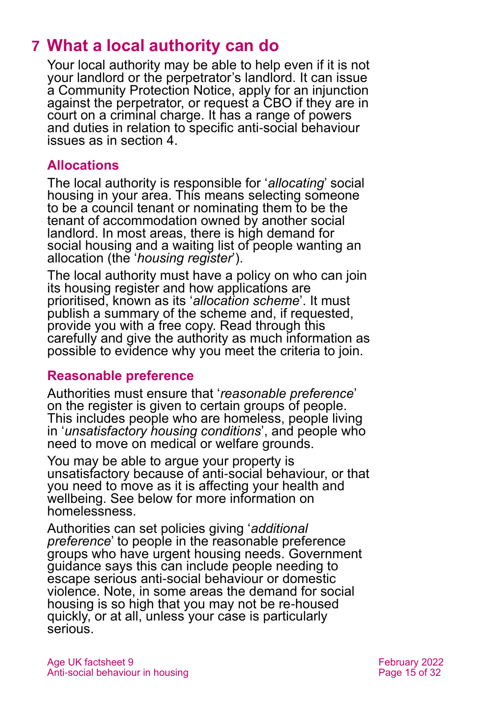# <span id="page-14-0"></span>**7 What a local authority can do**

Your local authority may be able to help even if it is not your landlord or the perpetrator's landlord. It can issue a Community Protection Notice, apply for an injunction against the perpetrator, or request a CBO if they are in court on a criminal charge. It has a range of powers and duties in relation to specific anti-social behaviour issues as in [section 4.](#page-4-1)

#### **Allocations**

The local authority is responsible for '*allocating*' social housing in your area. This means selecting someone to be a council tenant or nominating them to be the tenant of accommodation owned by another social landlord. In most areas, there is high demand for social housing and a waiting list of people wanting an allocation (the '*housing register*').

The local authority must have a policy on who can join its housing register and how applications are prioritised, known as its '*allocation scheme*'. It must publish a summary of the scheme and, if requested, provide you with a free copy. Read through this carefully and give the authority as much information as possible to evidence why you meet the criteria to join.

#### **Reasonable preference**

Authorities must ensure that '*reasonable preference*' on the register is given to certain groups of people. This includes people who are homeless, people living in '*unsatisfactory housing conditions*', and people who need to move on medical or welfare grounds.

You may be able to argue your property is unsatisfactory because of anti-social behaviour, or that you need to move as it is affecting your health and wellbeing. See below for more information on homelessness.

Authorities can set policies giving '*additional preference*' to people in the reasonable preference groups who have urgent housing needs. Government guidance says this can include people needing to escape serious anti-social behaviour or domestic violence. Note, in some areas the demand for social housing is so high that you may not be re-housed quickly, or at all, unless your case is particularly serious.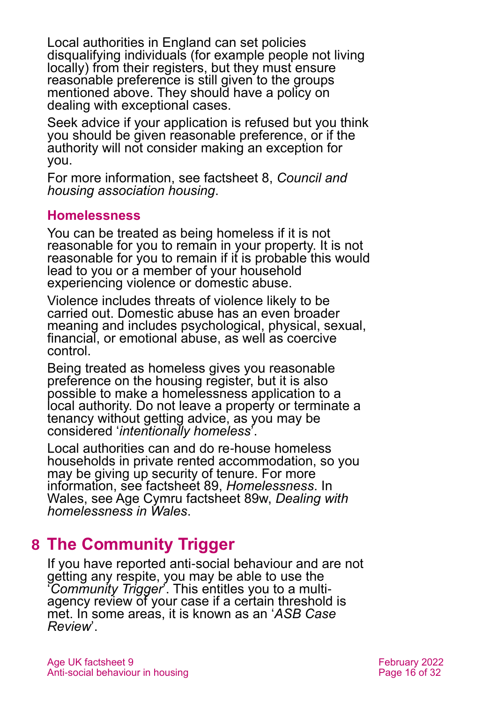Local authorities in England can set policies disqualifying individuals (for example people not living locally) from their registers, but they must ensure reasonable preference is still given to the groups mentioned above. They should have a policy on dealing with exceptional cases.

Seek advice if your application is refused but you think you should be given reasonable preference, or if the authority will not consider making an exception for you.

For more information, [see factsheet 8,](https://www.ageuk.org.uk/globalassets/age-uk/documents/factsheets/fs8_council_and_housing_association_housing_fcs.pdf) *Council and [housing association housing](https://www.ageuk.org.uk/globalassets/age-uk/documents/factsheets/fs8_council_and_housing_association_housing_fcs.pdf)*.

#### **Homelessness**

You can be treated as being homeless if it is not reasonable for you to remain in your property. It is not reasonable for you to remain if it is probable this would lead to you or a member of your household experiencing violence or domestic abuse.

Violence includes threats of violence likely to be carried out. Domestic abuse has an even broader meaning and includes psychological, physical, sexual, financial, or emotional abuse, as well as coercive control.

Being treated as homeless gives you reasonable preference on the housing register, but it is also possible to make a homelessness application to a local authority. Do not leave a property or terminate a tenancy without getting advice, as you may be considered '*intentionally homeless*'.

Local authorities can and do re-house homeless households in private rented accommodation, so you may be giving up security of tenure. For more information, [see factsheet 89,](https://www.ageuk.org.uk/globalassets/age-uk/documents/factsheets/fs89_homelessness_fcs.pdf) *Homelessness*. In Wales, see Age Cymru factsheet 89w, *[Dealing with](https://www.ageuk.org.uk/globalassets/age-cymru/documents/information-guides-and-factsheets/fs89w.pdf)  [homelessness in Wales](https://www.ageuk.org.uk/globalassets/age-cymru/documents/information-guides-and-factsheets/fs89w.pdf)*.

### <span id="page-15-0"></span>**8 The Community Trigger**

If you have reported anti-social behaviour and are not getting any respite, you may be able to use the '*Community Trigger*'. This entitles you to a multiagency review of your case if a certain threshold is met. In some areas, it is known as an '*ASB Case Review*'.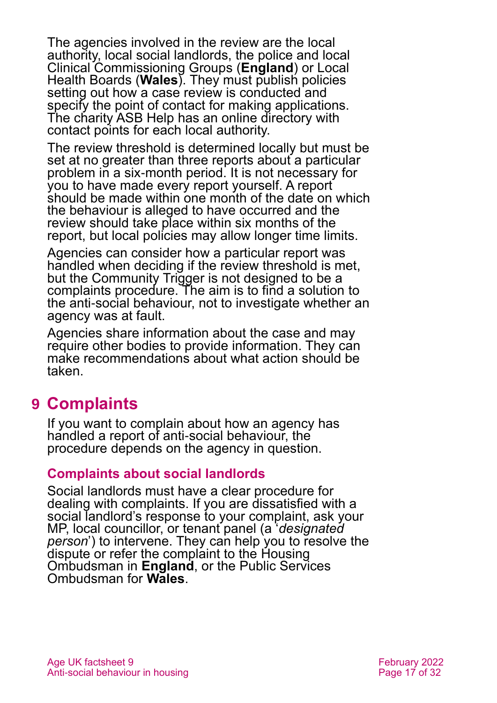The agencies involved in the review are the local authority, local social landlords, the police and local Clinical Commissioning Groups (**England**) or Local Health Boards (**Wales**). They must publish policies setting out how a case review is conducted and specify the point of contact for making applications. The charity [ASB Help](https://asbhelp.co.uk/) has an online directory with contact points for each local authority.

The review threshold is determined locally but must be set at no greater than three reports about a particular problem in a six-month period. It is not necessary for you to have made every report yourself. A report should be made within one month of the date on which the behaviour is alleged to have occurred and the review should take place within six months of the report, but local policies may allow longer time limits.

Agencies can consider how a particular report was handled when deciding if the review threshold is met, but the Community Trigger is not designed to be a complaints procedure. The aim is to find a solution to the anti-social behaviour, not to investigate whether an agency was at fault.

Agencies share information about the case and may require other bodies to provide information. They can make recommendations about what action should be taken.

### <span id="page-16-0"></span>**9 Complaints**

If you want to complain about how an agency has handled a report of anti-social behaviour, the procedure depends on the agency in question.

#### **Complaints about social landlords**

Social landlords must have a clear procedure for dealing with complaints. If you are dissatisfied with a social landlord's response to your complaint, ask your MP, local councillor, or tenant panel (a '*designated person*') to intervene. They can help you to resolve the dispute or refer the complaint to the [Housing](https://www.housing-ombudsman.org.uk/)  [Ombudsman](https://www.housing-ombudsman.org.uk/) in **England**, or the [Public Services](https://www.ombudsman.wales/)  [Ombudsman](https://www.ombudsman.wales/) for **Wales**.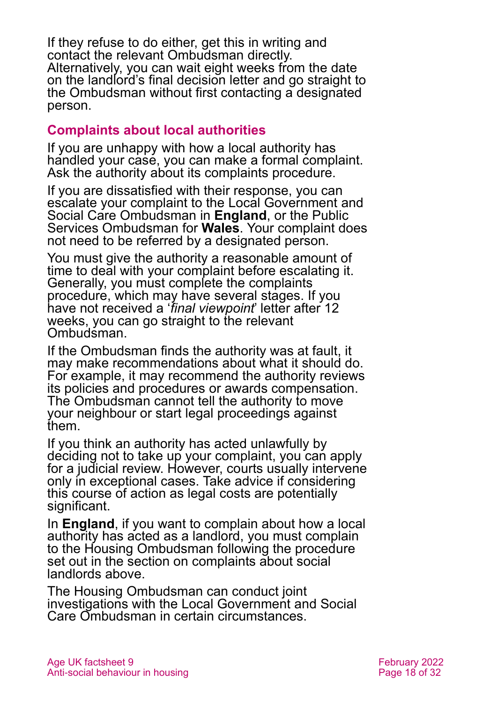If they refuse to do either, get this in writing and contact the relevant Ombudsman directly. Alternatively, you can wait eight weeks from the date on the landlord's final decision letter and go straight to the Ombudsman without first contacting a designated person.

#### **Complaints about local authorities**

If you are unhappy with how a local authority has handled your case, you can make a formal complaint. Ask the authority about its complaints procedure.

If you are dissatisfied with their response, you can escalate your complaint to the [Local Government and](http://www.lgo.org.uk/)  [Social Care Ombudsman](http://www.lgo.org.uk/) in **England**, or the [Public](http://www.ombudsman-wales.org.uk/)  [Services Ombudsman](http://www.ombudsman-wales.org.uk/) for **Wales**. Your complaint does not need to be referred by a designated person.

You must give the authority a reasonable amount of time to deal with your complaint before escalating it. Generally, you must complete the complaints procedure, which may have several stages. If you have not received a '*final viewpoint*' letter after 12 weeks, you can go straight to the relevant Ombudsman.

If the Ombudsman finds the authority was at fault, it may make recommendations about what it should do. For example, it may recommend the authority reviews its policies and procedures or awards compensation. The Ombudsman cannot tell the authority to move your neighbour or start legal proceedings against them.

If you think an authority has acted unlawfully by deciding not to take up your complaint, you can apply for a judicial review. However, courts usually intervene only in exceptional cases. Take advice if considering this course of action as legal costs are potentially significant.

In **England**, if you want to complain about how a local authority has acted as a landlord, you must complain to the Housing Ombudsman following the procedure set out in the section on complaints about social landlords above.

The Housing Ombudsman can conduct joint investigations with the Local Government and Social Care Ombudsman in certain circumstances.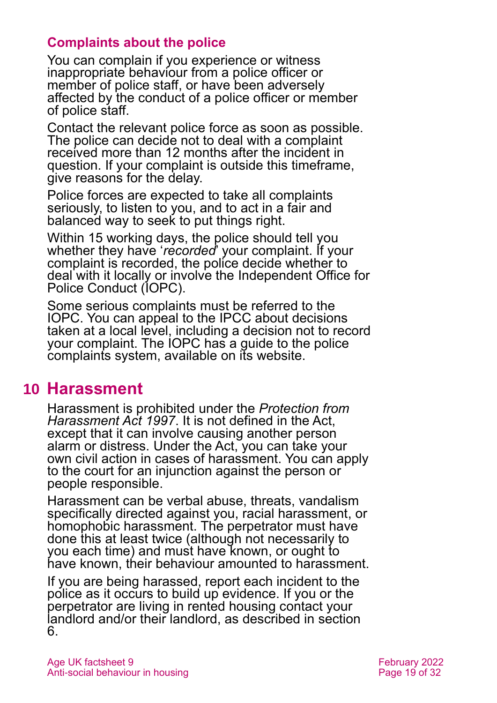#### **Complaints about the police**

You can complain if you experience or witness inappropriate behaviour from a police officer or member of police staff, or have been adversely affected by the conduct of a police officer or member of police staff.

Contact the relevant police force as soon as possible. The police can decide not to deal with a complaint received more than 12 months after the incident in question. If your complaint is outside this timeframe, give reasons for the delay.

Police forces are expected to take all complaints seriously, to listen to you, and to act in a fair and balanced way to seek to put things right.

Within 15 working days, the police should tell you whether they have '*recorded*' your complaint. If your complaint is recorded, the police decide whether to deal with it locally or involve the [Independent Office for](https://www.policeconduct.gov.uk/complaints-and-appeals/make-complaint)  [Police Conduct \(IOPC\).](https://www.policeconduct.gov.uk/complaints-and-appeals/make-complaint)

Some serious complaints must be referred to the IOPC. You can appeal to the IPCC about decisions taken at a local level, including a decision not to record your complaint. The IOPC has a guide to the police complaints system, available on its website.

### <span id="page-18-0"></span>**10 Harassment**

Harassment is prohibited under the *Protection from Harassment Act 1997*. It is not defined in the Act, except that it can involve causing another person alarm or distress. Under the Act, you can take your own civil action in cases of harassment. You can apply to the court for an injunction against the person or people responsible.

Harassment can be verbal abuse, threats, vandalism specifically directed against you, racial harassment, or homophobic harassment. The perpetrator must have done this at least twice (although not necessarily to you each time) and must have known, or ought to have known, their behaviour amounted to harassment.

If you are being harassed, report each incident to the police as it occurs to build up evidence. If you or the perpetrator are living in rented housing contact your landlord and/or their landlord, as described in [section](#page-11-1)  [6.](#page-11-1)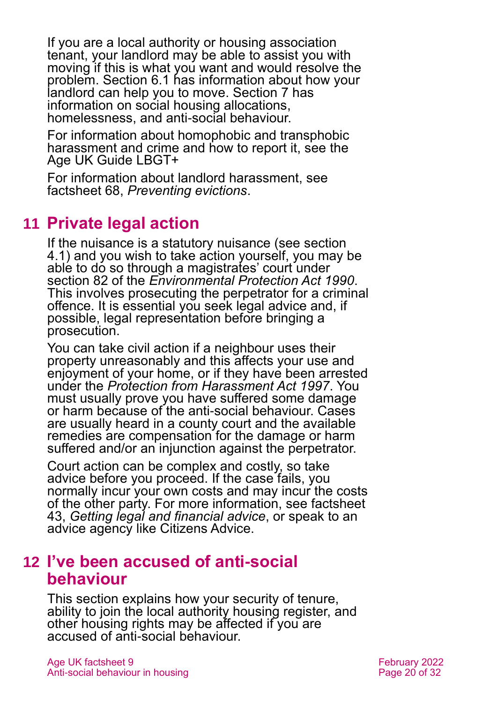If you are a local authority or housing association tenant, your landlord may be able to assist you with moving if this is what you want and would resolve the problem. [Section 6.1](#page-12-0) has information about how your landlord can help you to move. [Section 7](#page-14-0) has information on social housing allocations, homelessness, and anti-social behaviour.

For information about homophobic and transphobic harassment and crime and how to report it, see the Age UK Guide [LBGT+](https://www.ageuk.org.uk/globalassets/age-uk/documents/information-guides/ageukig02_lesbian_gay_bisexual_transgender_inf.pdf)

<span id="page-19-1"></span>For information about landlord harassment, see factsheet 68, *[Preventing evictions](https://www.ageuk.org.uk/globalassets/age-uk/documents/factsheets/fs68_tenancy_rights_security_of_tenure_fcs.pdf)*.

### **11 Private legal action**

If the nuisance is a statutory nuisance (see [section](#page-4-2)  [4.1\)](#page-4-2) and you wish to take action yourself, you may be able to do so through a magistrates' court under section 82 of the *[Environmental Protection Act 1990](https://www.legislation.gov.uk/ukpga/1990/43/contents)*. This involves prosecuting the perpetrator for a criminal offence. It is essential you seek legal advice and, if possible, legal representation before bringing a prosecution.

You can take civil action if a neighbour uses their property unreasonably and this affects your use and enjoyment of your home, or if they have been arrested under the *[Protection from Harassment Act 1997](https://www.legislation.gov.uk/ukpga/1997/40/contents)*. You must usually prove you have suffered some damage or harm because of the anti-social behaviour. Cases are usually heard in a county court and the available remedies are compensation for the damage or harm suffered and/or an injunction against the perpetrator.

Court action can be complex and costly, so take advice before you proceed. If the case fails, you normally incur your own costs and may incur the costs of the other party. For more information, see factsheet 43, *[Getting legal and financial advice](https://www.ageuk.org.uk/globalassets/age-uk/documents/factsheets/fs43-getting-legal-and-financial-advice.pdf)*, or speak to an advice agency like [Citizens Advice.](http://www.citizensadvice.org.uk/)

### <span id="page-19-0"></span>**12 I've been accused of anti-social behaviour**

This section explains how your security of tenure, ability to join the local authority housing register, and other housing rights may be affected if you are accused of anti-social behaviour.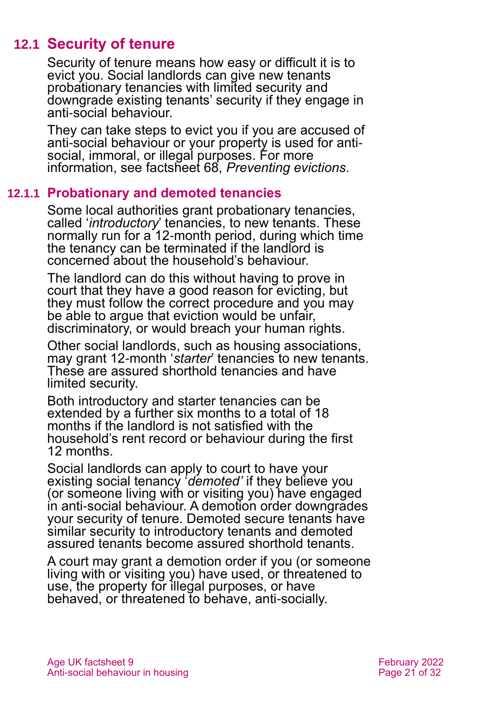### **12.1 Security of tenure**

Security of tenure means how easy or difficult it is to evict you. Social landlords can give new tenants probationary tenancies with limited security and downgrade existing tenants' security if they engage in anti-social behaviour.

They can take steps to evict you if you are accused of anti-social behaviour or your property is used for antisocial, immoral, or illegal purposes. For more information, see factsheet 68, *[Preventing evictions](https://www.ageuk.org.uk/globalassets/age-uk/documents/factsheets/fs68_tenancy_rights_security_of_tenure_fcs.pdf)*.

#### **12.1.1 Probationary and demoted tenancies**

Some local authorities grant probationary tenancies, called '*introductory*' tenancies, to new tenants. These normally run for a 12-month period, during which time the tenancy can be terminated if the landlord is concerned about the household's behaviour.

The landlord can do this without having to prove in court that they have a good reason for evicting, but they must follow the correct procedure and you may be able to argue that eviction would be unfair, discriminatory, or would breach your human rights.

Other social landlords, such as housing associations, may grant 12-month '*starter*' tenancies to new tenants. These are assured shorthold tenancies and have limited security.

Both introductory and starter tenancies can be extended by a further six months to a total of 18 months if the landlord is not satisfied with the household's rent record or behaviour during the first 12 months.

Social landlords can apply to court to have your existing social tenancy '*demoted'* if they believe you (or someone living with or visiting you) have engaged in anti-social behaviour. A demotion order downgrades your security of tenure. Demoted secure tenants have similar security to introductory tenants and demoted assured tenants become assured shorthold tenants.

A court may grant a demotion order if you (or someone living with or visiting you) have used, or threatened to use, the property for illegal purposes, or have behaved, or threatened to behave, anti-socially.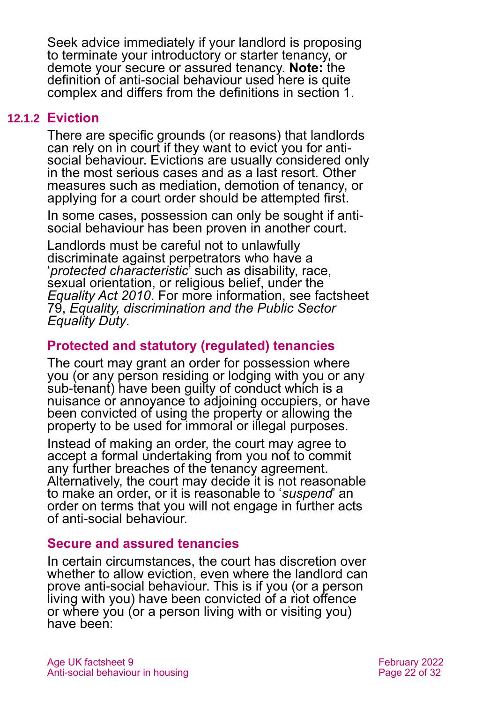Seek advice immediately if your landlord is proposing to terminate your introductory or starter tenancy, or demote your secure or assured tenancy. **Note:** the definition of anti-social behaviour used here is quite complex and differs from the definitions in [section 1.](#page-2-0)

#### **12.1.2 Eviction**

There are specific grounds (or reasons) that landlords can rely on in court if they want to evict you for antisocial behaviour. Evictions are usually considered only in the most serious cases and as a last resort. Other measures such as mediation, demotion of tenancy, or applying for a court order should be attempted first.

In some cases, possession can only be sought if antisocial behaviour has been proven in another court.

Landlords must be careful not to unlawfully discriminate against perpetrators who have a '*protected characteristic*' such as disability, race, sexual orientation, or religious belief, under the *[Equality Act 2010](https://www.legislation.gov.uk/ukpga/2010/15/contents)*. For more information, see factsheet 79, *[Equality, discrimination and the Public Sector](https://www.ageuk.org.uk/globalassets/age-uk/documents/factsheets/fs79_equality_discrimination_and_the_public_sector_equality_duty_fcs.pdf)  [Equality Duty](https://www.ageuk.org.uk/globalassets/age-uk/documents/factsheets/fs79_equality_discrimination_and_the_public_sector_equality_duty_fcs.pdf)*.

#### **Protected and statutory (regulated) tenancies**

The court may grant an order for possession where you (or any person residing or lodging with you or any sub-tenant) have been guilty of conduct which is a nuisance or annoyance to adjoining occupiers, or have been convicted of using the property or allowing the property to be used for immoral or illegal purposes.

Instead of making an order, the court may agree to accept a formal undertaking from you not to commit any further breaches of the tenancy agreement. Alternatively, the court may decide it is not reasonable to make an order, or it is reasonable to '*suspend*' an order on terms that you will not engage in further acts of anti-social behaviour.

#### **Secure and assured tenancies**

In certain circumstances, the court has discretion over whether to allow eviction, even where the landlord can prove anti-social behaviour. This is if you (or a person living with you) have been convicted of a riot offence or where you (or a person living with or visiting you) have been: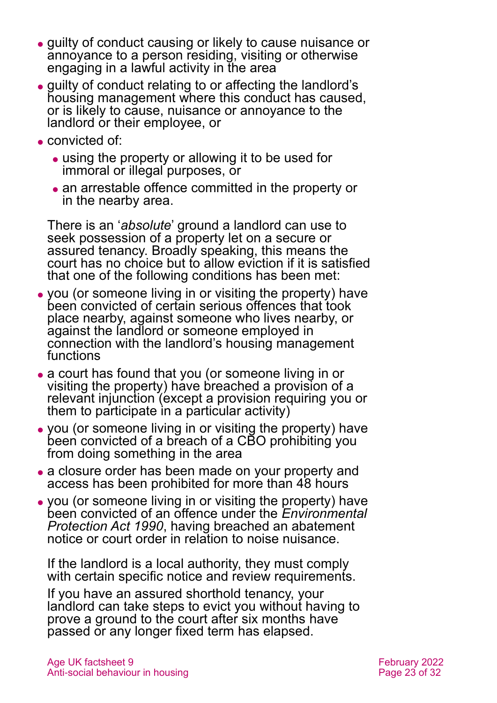- ⚫ guilty of conduct causing or likely to cause nuisance or annoyance to a person residing, visiting or otherwise engaging in a lawful activity in the area
- ⚫ guilty of conduct relating to or affecting the landlord's housing management where this conduct has caused, or is likely to cause, nuisance or annoyance to the landlord or their employee, or
- ⚫ convicted of:
	- using the property or allowing it to be used for immoral or illegal purposes, or
	- ⚫ an arrestable offence committed in the property or in the nearby area.

There is an '*absolute*' ground a landlord can use to seek possession of a property let on a secure or assured tenancy. Broadly speaking, this means the court has no choice but to allow eviction if it is satisfied that one of the following conditions has been met:

- ⚫ you (or someone living in or visiting the property) have been convicted of certain serious offences that took place nearby, against someone who lives nearby, or against the landlord or someone employed in connection with the landlord's housing management functions
- a court has found that you (or someone living in or visiting the property) have breached a provision of a relevant injunction (except a provision requiring you or them to participate in a particular activity)
- ⚫ you (or someone living in or visiting the property) have been convicted of a breach of a CBO prohibiting you from doing something in the area
- a closure order has been made on your property and access has been prohibited for more than 48 hours
- ⚫ you (or someone living in or visiting the property) have been convicted of an offence under the *Environmental Protection Act 1990*, having breached an abatement notice or court order in relation to noise nuisance.

If the landlord is a local authority, they must comply with certain specific notice and review requirements.

If you have an assured shorthold tenancy, your landlord can take steps to evict you without having to prove a ground to the court after six months have passed or any longer fixed term has elapsed.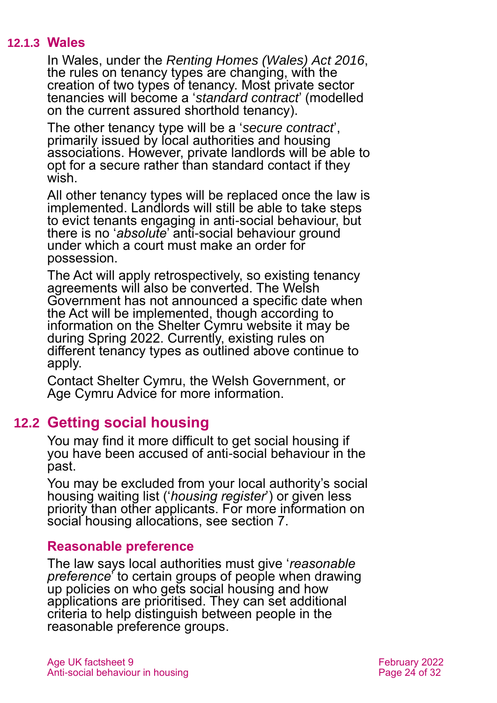#### **12.1.3 Wales**

In Wales, under the *[Renting Homes \(Wales\) Act 2016](https://www.legislation.gov.uk/anaw/2016/1/contents)*, the rules on tenancy types are changing, with the creation of two types of tenancy. Most private sector tenancies will become a '*standard contract*' (modelled on the current assured shorthold tenancy).

The other tenancy type will be a '*secure contract*', primarily issued by local authorities and housing associations. However, private landlords will be able to opt for a secure rather than standard contact if they wish.

All other tenancy types will be replaced once the law is implemented. Landlords will still be able to take steps to evict tenants engaging in anti-social behaviour, but there is no '*absolute*' anti-social behaviour ground under which a court must make an order for possession.

The Act will apply retrospectively, so existing tenancy agreements will also be converted. The Welsh Government has not announced a specific date when the Act will be implemented, though according to information on the Shelter Cymru website it may be during Spring 2022. Currently, existing rules on different tenancy types as outlined above continue to apply.

Contact [Shelter Cymru,](#page-29-0) the [Welsh Government,](#page-29-1) or [Age Cymru Advice](http://www.agecymru.org.uk/) for more information.

#### **12.2 Getting social housing**

You may find it more difficult to get social housing if you have been accused of anti-social behaviour in the past.

You may be excluded from your local authority's social housing waiting list ('*housing register*') or given less priority than other applicants. For more information on social housing allocations, see [section 7.](#page-14-0)

#### **Reasonable preference**

The law says local authorities must give '*reasonable preference*' to certain groups of people when drawing up policies on who gets social housing and how applications are prioritised. They can set additional criteria to help distinguish between people in the reasonable preference groups.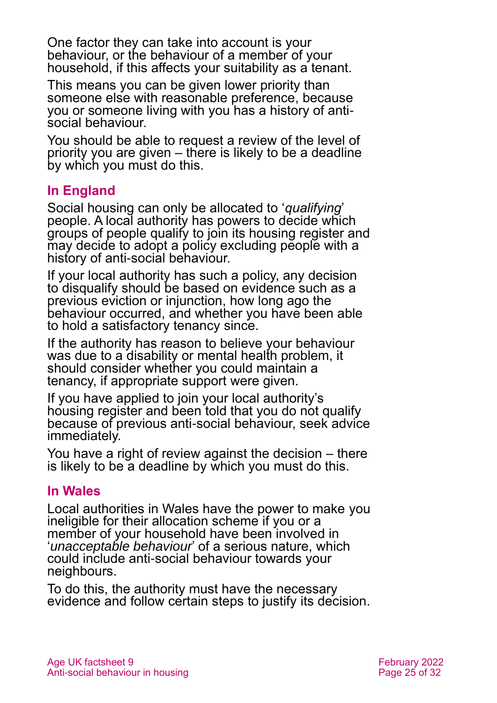One factor they can take into account is your behaviour, or the behaviour of a member of your household, if this affects your suitability as a tenant.

This means you can be given lower priority than someone else with reasonable preference, because you or someone living with you has a history of antisocial behaviour.

You should be able to request a review of the level of priority you are given – there is likely to be a deadline by which you must do this.

#### **In England**

Social housing can only be allocated to '*qualifying*' people. A local authority has powers to decide which groups of people qualify to join its housing register and may decide to adopt a policy excluding people with a history of anti-social behaviour.

If your local authority has such a policy, any decision to disqualify should be based on evidence such as a previous eviction or injunction, how long ago the behaviour occurred, and whether you have been able to hold a satisfactory tenancy since.

If the authority has reason to believe your behaviour was due to a disability or mental health problem, it should consider whether you could maintain a tenancy, if appropriate support were given.

If you have applied to join your local authority's housing register and been told that you do not qualify because of previous anti-social behaviour, seek advice immediately.

You have a right of review against the decision – there is likely to be a deadline by which you must do this.

#### **In Wales**

Local authorities in Wales have the power to make you ineligible for their allocation scheme if you or a member of your household have been involved in '*unacceptable behaviour*' of a serious nature, which could include anti-social behaviour towards your neighbours.

To do this, the authority must have the necessary evidence and follow certain steps to justify its decision.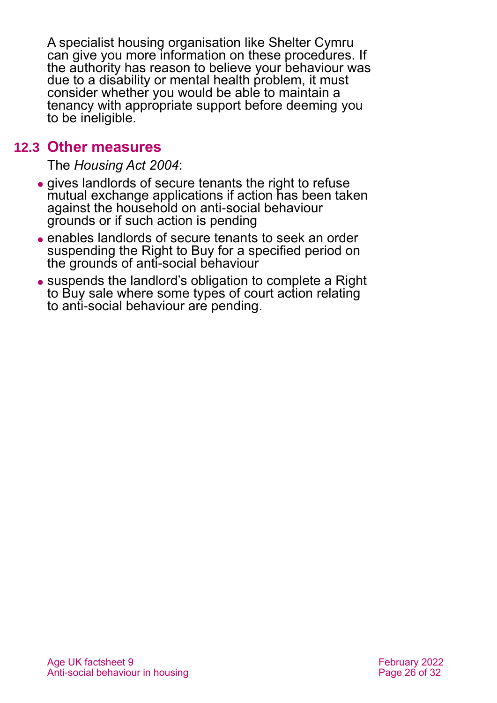A specialist housing organisation like Shelter Cymru can give you more information on these procedures. If the authority has reason to believe your behaviour was due to a disability or mental health problem, it must consider whether you would be able to maintain a tenancy with appropriate support before deeming you to be ineligible.

#### **12.3 Other measures**

The *[Housing Act 2004](https://www.legislation.gov.uk/ukpga/2004/34/contents)*:

- ⚫ gives landlords of secure tenants the right to refuse mutual exchange applications if action has been taken against the household on anti-social behaviour grounds or if such action is pending
- ⚫ enables landlords of secure tenants to seek an order suspending the Right to Buy for a specified period on the grounds of anti-social behaviour
- ⚫ suspends the landlord's obligation to complete a Right to Buy sale where some types of court action relating to anti-social behaviour are pending.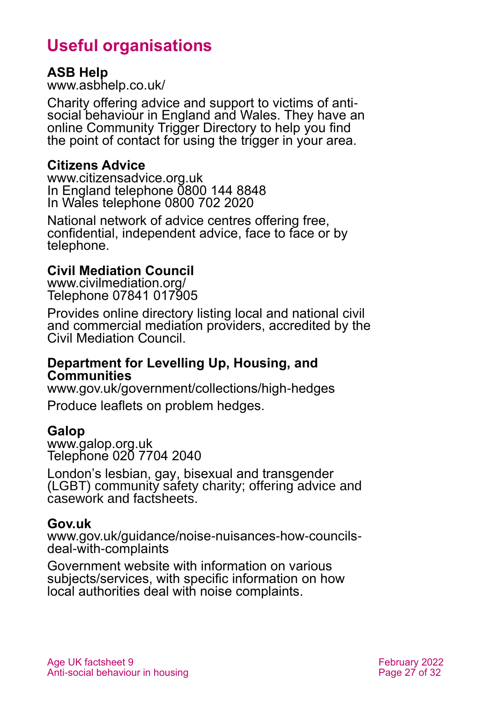# **Useful organisations**

#### <span id="page-26-0"></span>**ASB Help**

[www.asbhelp.co.uk/](http://www.asbhelp.co.uk/)

Charity offering advice and support to victims of antisocial behaviour in England and Wales. They have an online Community Trigger Directory to help you find the point of contact for using the trigger in your area.

#### **Citizens Advice**

[www.citizensadvice.org.uk](http://www.citizensadvice.org.uk/) In England telephone 0800 144 8848 In Wales telephone 0800 702 2020

National network of advice centres offering free, confidential, independent advice, face to face or by telephone.

#### **Civil Mediation Council**

[www.civilmediation.org/](http://www.civilmediation.org/) Telephone 07841 017905

Provides online directory listing local and national civil and commercial mediation providers, accredited by the Civil Mediation Council.

#### **Department for Levelling Up, Housing, and Communities**

[www.gov.uk/government/collections/high-hedges](http://www.gov.uk/government/collections/high-hedges) Produce leaflets on problem hedges.

#### **Galop**

[www.galop.org.uk](http://www.galop.org.uk/) Telephone 020 7704 2040

London's lesbian, gay, bisexual and transgender (LGBT) community safety charity; offering advice and casework and factsheets.

#### **Gov.uk**

[www.gov.uk/guidance/noise-nuisances-how-councils](http://www.gov.uk/guidance/noise-nuisances-how-councils-deal-with-complaints)[deal-with-complaints](http://www.gov.uk/guidance/noise-nuisances-how-councils-deal-with-complaints)

Government website with information on various subjects/services, with specific information on how local authorities deal with noise complaints.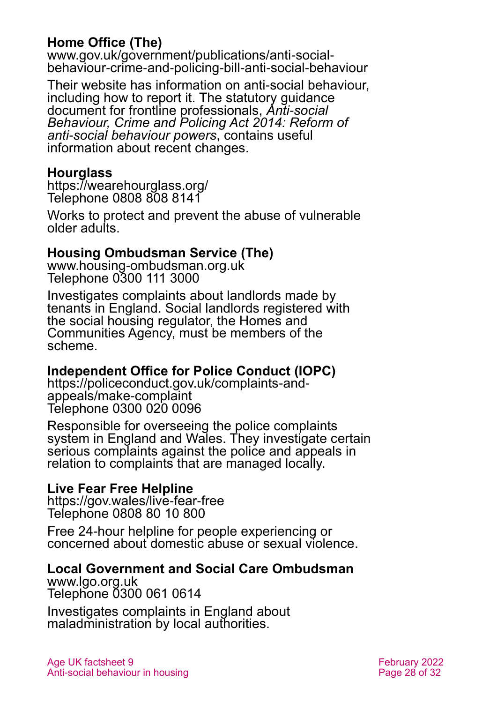#### **Home Office (The)**

[www.gov.uk/government/publications/anti-social](http://www.gov.uk/government/publications/anti-social-behaviour-crime-and-policing-bill-anti-social-behaviour)[behaviour-crime-and-policing-bill-anti-social-behaviour](http://www.gov.uk/government/publications/anti-social-behaviour-crime-and-policing-bill-anti-social-behaviour)

Their website has information on anti-social behaviour, including how to report it. The statutory guidance document for frontline professionals, *[Anti-social](https://assets.publishing.service.gov.uk/government/uploads/system/uploads/attachment_data/file/823316/2019-08-05_ASB_Revised_Statutory_Guidance_V2.2.pdf)  [Behaviour, Crime and Policing Act 2014: Reform of](https://assets.publishing.service.gov.uk/government/uploads/system/uploads/attachment_data/file/823316/2019-08-05_ASB_Revised_Statutory_Guidance_V2.2.pdf)  [anti-social behaviour powers](https://assets.publishing.service.gov.uk/government/uploads/system/uploads/attachment_data/file/823316/2019-08-05_ASB_Revised_Statutory_Guidance_V2.2.pdf)*, contains useful information about recent changes.

#### **Hourglass**

<https://wearehourglass.org/> Telephone 0808 808 8141

Works to protect and prevent the abuse of vulnerable older adults.

#### **Housing Ombudsman Service (The)**

[www.housing-ombudsman.org.uk](http://www.housing-ombudsman.org.uk/) Telephone 0300 111 3000

Investigates complaints about landlords made by tenants in England. Social landlords registered with the social housing regulator, the Homes and Communities Agency, must be members of the scheme.

#### **Independent Office for Police Conduct (IOPC)**

[https://policeconduct.gov.uk/complaints-and](https://policeconduct.gov.uk/complaints-and-appeals/make-complaint)[appeals/make-complaint](https://policeconduct.gov.uk/complaints-and-appeals/make-complaint) Telephone 0300 020 0096

Responsible for overseeing the police complaints system in England and Wales. They investigate certain serious complaints against the police and appeals in relation to complaints that are managed locally.

#### **Live Fear Free Helpline**

<https://gov.wales/live-fear-free> Telephone 0808 80 10 800

Free 24-hour helpline for people experiencing or concerned about domestic abuse or sexual violence.

#### **Local Government and Social Care Ombudsman**

[www.lgo.org.uk](http://www.lgo.org.uk/) Telephone 0300 061 0614

Investigates complaints in England about maladministration by local authorities.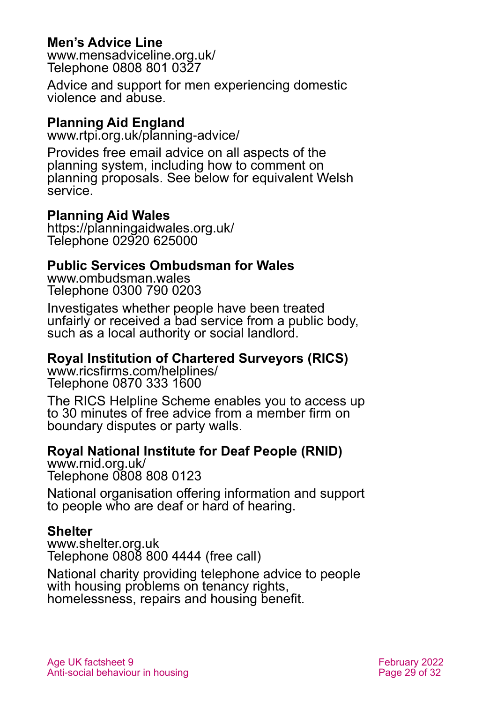#### **Men's Advice Line**

[www.mensadviceline.org.uk/](http://www.mensadviceline.org.uk/) Telephone 0808 801 0327

Advice and support for men experiencing domestic violence and abuse.

#### **Planning Aid England**

[www.rtpi.org.uk/planning-advice/](http://www.rtpi.org.uk/planning-advice/)

Provides free email advice on all aspects of the planning system, including how to comment on planning proposals. See below for equivalent Welsh service.

#### **Planning Aid Wales**

<https://planningaidwales.org.uk/> Telephone 02920 625000

#### **Public Services Ombudsman for Wales**

[www.ombudsman.wales](http://www.ombudsman.wales/) Telephone 0300 790 0203

Investigates whether people have been treated unfairly or received a bad service from a public body, such as a local authority or social landlord.

#### **Royal Institution of Chartered Surveyors (RICS)**

[www.ricsfirms.com/helplines/](http://www.ricsfirms.com/helplines/) Telephone 0870 333 1600

The RICS Helpline Scheme enables you to access up to 30 minutes of free advice from a member firm on boundary disputes or party walls.

#### **Royal National Institute for Deaf People (RNID)**

[www.rnid.org.uk/](http://www.rnid.org.uk/) Telephone 0808 808 0123

National organisation offering information and support to people who are deaf or hard of hearing.

#### **Shelter**

[www.shelter.org.uk](http://www.shelter.org.uk/) Telephone 0808 800 4444 (free call)

National charity providing telephone advice to people with housing problems on tenancy rights, homelessness, repairs and housing benefit.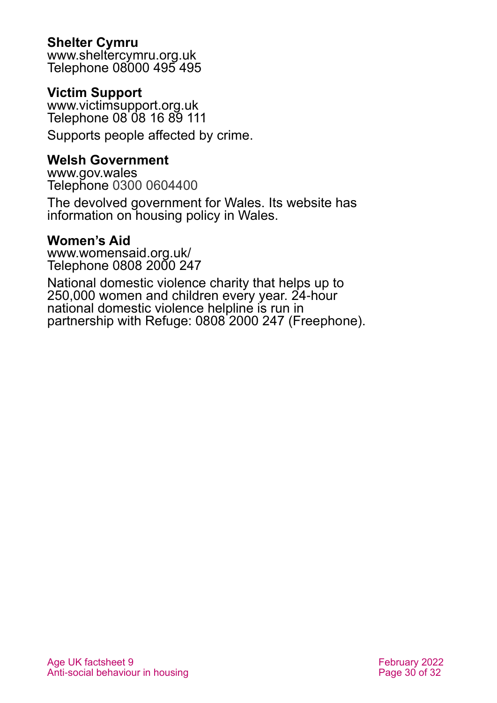#### <span id="page-29-0"></span>**Shelter Cymru**

[www.sheltercymru.org.uk](http://www.sheltercymru.org.uk/) Telephone 08000 495 495

#### **Victim Support**

[www.victimsupport.org.uk](http://www.victimsupport.org.uk/) Telephone 08'08 16 89 111

Supports people affected by crime.

#### <span id="page-29-1"></span>**Welsh Government**

[www.gov.wales](http://www.gov.wales/) Telephone 0300 0604400

The devolved government for Wales. Its website has information on housing policy in Wales.

#### **Women's Aid**

[www.womensaid.org.uk/](http://www.womensaid.org.uk/) Telephone 0808 2000 247

National domestic violence charity that helps up to 250,000 women and children every year. 24-hour national domestic violence helpline is run in partnership with Refuge: 0808 2000 247 (Freephone).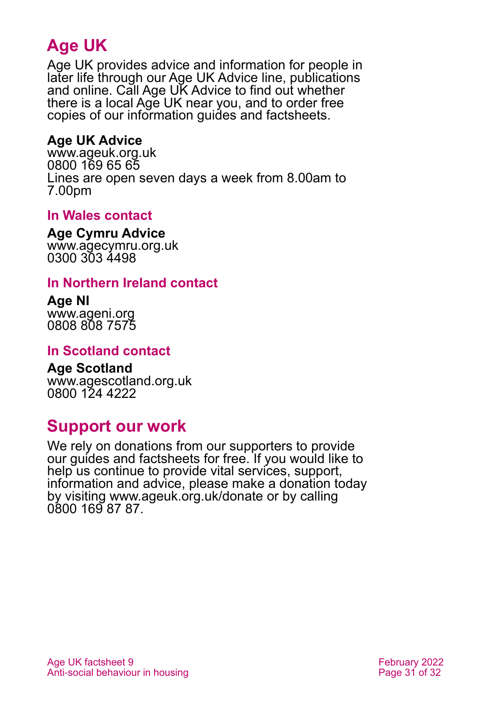# **Age UK**

Age UK provides advice and information for people in later life through our Age UK Advice line, publications and online. Call Age UK Advice to find out whether there is a local Age UK near you, and to order free copies of our information guides and factsheets.

#### <span id="page-30-1"></span>**Age UK Advice**

[www.ageuk.org.uk](http://www.ageuk.org.uk/) 0800 169 65 65 Lines are open seven days a week from 8.00am to 7.00pm

#### **In Wales contact**

**Age Cymru Advice**

[www.agecymru.org.uk](http://www.agecymru.org.uk/) 0300 303 4498

#### **In Northern Ireland contact**

**Age NI** [www.ageni.org](http://www.ageni.org/) 0808 808 7575

#### <span id="page-30-0"></span>**In Scotland contact**

<span id="page-30-2"></span>**Age Scotland** [www.agescotland.org.uk](http://www.agescotland.org.uk/) 0800 124 4222

### **Support our work**

We rely on donations from our supporters to provide our guides and factsheets for free. If you would like to help us continue to provide vital services, support, information and advice, please make a donation today by visiting [www.ageuk.org.uk/donate](http://www.ageuk.org.uk/donate) or by calling 0800 169 87 87.